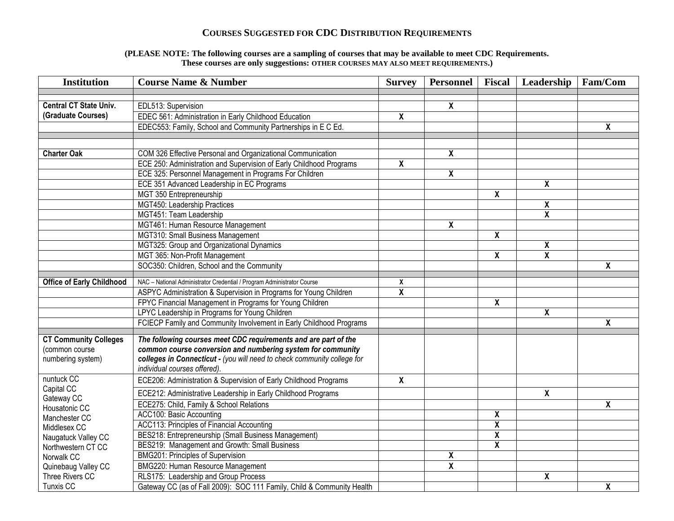## **COURSES SUGGESTED FOR CDC DISTRIBUTION REQUIREMENTS**

## **(PLEASE NOTE: The following courses are a sampling of courses that may be available to meet CDC Requirements. These courses are only suggestions: OTHER COURSES MAY ALSO MEET REQUIREMENTS.)**

| <b>Institution</b>               | <b>Course Name &amp; Number</b>                                                                                                    | <b>Survey</b>           | Personnel               | Fiscal | Leadership                | Fam/Com                 |
|----------------------------------|------------------------------------------------------------------------------------------------------------------------------------|-------------------------|-------------------------|--------|---------------------------|-------------------------|
|                                  |                                                                                                                                    |                         |                         |        |                           |                         |
| <b>Central CT State Univ.</b>    | EDL513: Supervision                                                                                                                |                         | X                       |        |                           |                         |
| (Graduate Courses)               | EDEC 561: Administration in Early Childhood Education                                                                              | X                       |                         |        |                           |                         |
|                                  | EDEC553: Family, School and Community Partnerships in E C Ed.                                                                      |                         |                         |        |                           | X                       |
|                                  |                                                                                                                                    |                         |                         |        |                           |                         |
| <b>Charter Oak</b>               |                                                                                                                                    |                         | X                       |        |                           |                         |
|                                  | COM 326 Effective Personal and Organizational Communication<br>ECE 250: Administration and Supervision of Early Childhood Programs | X                       |                         |        |                           |                         |
|                                  | ECE 325: Personnel Management in Programs For Children                                                                             |                         | χ                       |        |                           |                         |
|                                  | ECE 351 Advanced Leadership in EC Programs                                                                                         |                         |                         |        | $\overline{\mathbf{X}}$   |                         |
|                                  | MGT 350 Entrepreneurship                                                                                                           |                         |                         | χ      |                           |                         |
|                                  | MGT450: Leadership Practices                                                                                                       |                         |                         |        | $\boldsymbol{\mathsf{X}}$ |                         |
|                                  | MGT451: Team Leadership                                                                                                            |                         |                         |        | $\pmb{\mathsf{X}}$        |                         |
|                                  | MGT461: Human Resource Management                                                                                                  |                         | X                       |        |                           |                         |
|                                  | MGT310: Small Business Management                                                                                                  |                         |                         | χ      |                           |                         |
|                                  | MGT325: Group and Organizational Dynamics                                                                                          |                         |                         |        | X                         |                         |
|                                  | MGT 365: Non-Profit Management                                                                                                     |                         |                         | X      | X                         |                         |
|                                  | SOC350: Children, School and the Community                                                                                         |                         |                         |        |                           | χ                       |
|                                  |                                                                                                                                    |                         |                         |        |                           |                         |
| <b>Office of Early Childhood</b> | NAC - National Administrator Credential / Program Administrator Course                                                             | X                       |                         |        |                           |                         |
|                                  | ASPYC Administration & Supervision in Programs for Young Children                                                                  | $\overline{\mathbf{X}}$ |                         |        |                           |                         |
|                                  | FPYC Financial Management in Programs for Young Children                                                                           |                         |                         | X      |                           |                         |
|                                  | LPYC Leadership in Programs for Young Children                                                                                     |                         |                         |        | X                         |                         |
|                                  | FCIECP Family and Community Involvement in Early Childhood Programs                                                                |                         |                         |        |                           | X                       |
| <b>CT Community Colleges</b>     | The following courses meet CDC requirements and are part of the                                                                    |                         |                         |        |                           |                         |
| (common course                   | common course conversion and numbering system for community                                                                        |                         |                         |        |                           |                         |
| numbering system)                | colleges in Connecticut - (you will need to check community college for                                                            |                         |                         |        |                           |                         |
|                                  | individual courses offered).                                                                                                       |                         |                         |        |                           |                         |
| nuntuck CC                       | ECE206: Administration & Supervision of Early Childhood Programs                                                                   | $\mathsf{x}$            |                         |        |                           |                         |
| Capital CC<br>Gateway CC         | ECE212: Administrative Leadership in Early Childhood Programs                                                                      |                         |                         |        | $\pmb{\mathsf{X}}$        |                         |
| Housatonic CC                    | ECE275: Child, Family & School Relations                                                                                           |                         |                         |        |                           | $\overline{\mathbf{X}}$ |
| Manchester CC                    | ACC100: Basic Accounting                                                                                                           |                         |                         | χ      |                           |                         |
| Middlesex CC                     | ACC113: Principles of Financial Accounting                                                                                         |                         |                         | χ      |                           |                         |
| Naugatuck Valley CC              | BES218: Entrepreneurship (Small Business Management)                                                                               |                         |                         | χ      |                           |                         |
| Northwestern CT CC               | BES219: Management and Growth: Small Business                                                                                      |                         |                         | χ      |                           |                         |
| Norwalk CC                       | BMG201: Principles of Supervision                                                                                                  |                         | χ                       |        |                           |                         |
| Quinebaug Valley CC              | BMG220: Human Resource Management                                                                                                  |                         | $\overline{\mathbf{X}}$ |        |                           |                         |
| Three Rivers CC                  | RLS175: Leadership and Group Process                                                                                               |                         |                         |        | χ                         |                         |
| Tunxis CC                        | Gateway CC (as of Fall 2009): SOC 111 Family, Child & Community Health                                                             |                         |                         |        |                           | χ                       |